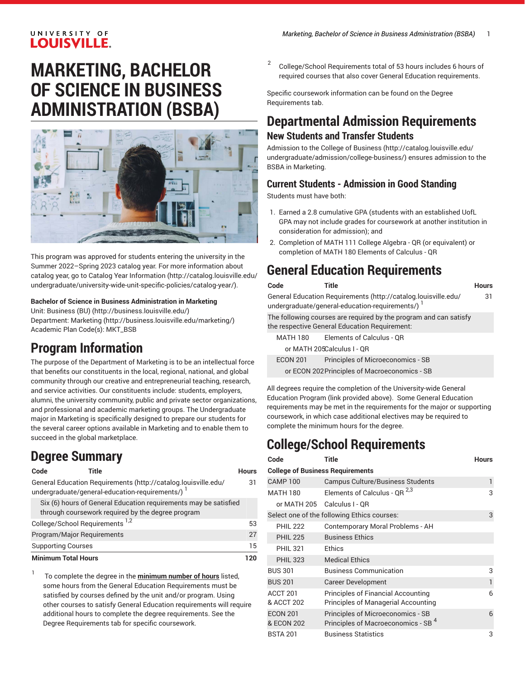### UNIVERSITY OF **LOUISVILLE.**

# **MARKETING, BACHELOR OF SCIENCE IN BUSINESS ADMINISTRATION (BSBA)**



This program was approved for students entering the university in the Summer 2022–Spring 2023 catalog year. For more information about catalog year, go to Catalog Year [Information](http://catalog.louisville.edu/undergraduate/university-wide-unit-specific-policies/catalog-year/) ([http://catalog.louisville.edu/](http://catalog.louisville.edu/undergraduate/university-wide-unit-specific-policies/catalog-year/) [undergraduate/university-wide-unit-specific-policies/catalog-year/](http://catalog.louisville.edu/undergraduate/university-wide-unit-specific-policies/catalog-year/)).

#### **Bachelor of Science in Business Administration in Marketing**

Unit: [Business \(BU\) \(http://business.louisville.edu/](http://business.louisville.edu/)) Department: [Marketing \(http://business.louisville.edu/marketing/](http://business.louisville.edu/marketing/)) Academic Plan Code(s): MKT\_BSB

# **Program Information**

The purpose of the Department of Marketing is to be an intellectual force that benefits our constituents in the local, regional, national, and global community through our creative and entrepreneurial teaching, research, and service activities. Our constituents include: students, employers, alumni, the university community, public and private sector organizations, and professional and academic marketing groups. The Undergraduate major in Marketing is specifically designed to prepare our students for the several career options available in Marketing and to enable them to succeed in the global marketplace.

# **Degree Summary**

31

**Code Title Hours** General Education [Requirements](http://catalog.louisville.edu/undergraduate/general-education-requirements/) ([http://catalog.louisville.edu/](http://catalog.louisville.edu/undergraduate/general-education-requirements/) [undergraduate/general-education-requirements/\)](http://catalog.louisville.edu/undergraduate/general-education-requirements/)<sup>1</sup> Six (6) hours of General Education requirements may be satisfied through coursework required by the degree program

| <b>Minimum Total Hours</b>                       |    |
|--------------------------------------------------|----|
| <b>Supporting Courses</b>                        | 15 |
| Program/Major Reguirements                       |    |
| College/School Requirements <sup>1,2</sup>       | 53 |
| unbugh coursework regained by the acquee program |    |

1 To complete the degree in the **minimum number of hours** listed, some hours from the General Education Requirements must be satisfied by courses defined by the unit and/or program. Using other courses to satisfy General Education requirements will require additional hours to complete the degree requirements. See the Degree Requirements tab for specific coursework.

2 College/School Requirements total of 53 hours includes 6 hours of required courses that also cover General Education requirements.

Specific coursework information can be found on the Degree Requirements tab.

## **Departmental Admission Requirements New Students and Transfer Students**

[Admission to the College of Business](http://catalog.louisville.edu/undergraduate/admission/college-business/) ([http://catalog.louisville.edu/](http://catalog.louisville.edu/undergraduate/admission/college-business/) [undergraduate/admission/college-business/\)](http://catalog.louisville.edu/undergraduate/admission/college-business/) ensures admission to the BSBA in Marketing.

## **Current Students - Admission in Good Standing**

Students must have both:

- 1. Earned a 2.8 cumulative GPA (students with an established UofL GPA may not include grades for coursework at another institution in consideration for admission); and
- 2. Completion of MATH 111 College Algebra QR (or equivalent) or completion of MATH 180 Elements of Calculus - QR

# **General Education Requirements**

| Code            | Title                                                                                                              | <b>Hours</b> |
|-----------------|--------------------------------------------------------------------------------------------------------------------|--------------|
|                 | General Education Requirements (http://catalog.louisville.edu/<br>undergraduate/general-education-requirements/)   | 31           |
|                 | The following courses are required by the program and can satisfy<br>the respective General Education Requirement: |              |
| MATH 180        | Elements of Calculus - QR                                                                                          |              |
|                 | or MATH 205Calculus I - QR                                                                                         |              |
| <b>ECON 201</b> | Principles of Microeconomics - SB                                                                                  |              |
|                 | or ECON 202 Principles of Macroeconomics - SB                                                                      |              |

All degrees require the completion of the University-wide General Education Program (link provided above). Some General Education requirements may be met in the requirements for the major or supporting coursework, in which case additional electives may be required to complete the minimum hours for the degree.

# **College/School Requirements**

| Code                                    | <b>Title</b>                                   | <b>Hours</b> |
|-----------------------------------------|------------------------------------------------|--------------|
| <b>College of Business Requirements</b> |                                                |              |
| <b>CAMP 100</b>                         | <b>Campus Culture/Business Students</b>        | 1            |
| <b>MATH 180</b>                         | Elements of Calculus - QR $^{2,3}$             | 3            |
|                                         | or MATH 205 Calculus I - OR                    |              |
|                                         | Select one of the following Ethics courses:    | 3            |
| <b>PHIL 222</b>                         | Contemporary Moral Problems - AH               |              |
| <b>PHIL 225</b>                         | <b>Business Ethics</b>                         |              |
| <b>PHIL 321</b>                         | Ethics                                         |              |
| <b>PHIL 323</b>                         | <b>Medical Ethics</b>                          |              |
| <b>BUS 301</b>                          | <b>Business Communication</b>                  | 3            |
| <b>BUS 201</b>                          | Career Development                             | 1            |
| ACCT <sub>201</sub>                     | <b>Principles of Financial Accounting</b>      | 6            |
| & ACCT 202                              | <b>Principles of Managerial Accounting</b>     |              |
| <b>ECON 201</b>                         | Principles of Microeconomics - SB              | 6            |
| & ECON 202                              | Principles of Macroeconomics - SB <sup>4</sup> |              |
| <b>BSTA 201</b>                         | Business Statistics                            | 3            |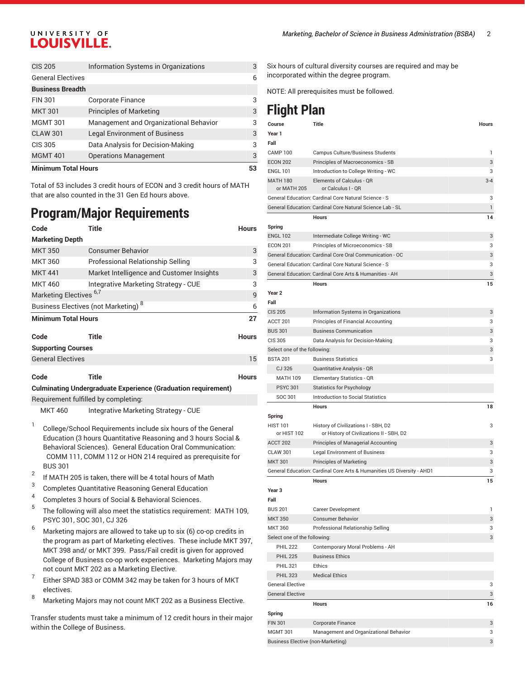### UNIVERSITY OF **LOUISVILLE.**

| <b>Minimum Total Hours</b> |                                        |   |
|----------------------------|----------------------------------------|---|
| <b>MGMT 401</b>            | <b>Operations Management</b>           | 3 |
| <b>CIS 305</b>             | Data Analysis for Decision-Making      | 3 |
| <b>CLAW 301</b>            | <b>Legal Environment of Business</b>   | 3 |
| <b>MGMT 301</b>            | Management and Organizational Behavior | 3 |
| <b>MKT 301</b>             | <b>Principles of Marketing</b>         | 3 |
| <b>FIN 301</b>             | <b>Corporate Finance</b>               | 3 |
| <b>Business Breadth</b>    |                                        |   |
| <b>General Electives</b>   |                                        | 6 |
| <b>CIS 205</b>             | Information Systems in Organizations   | 3 |

Total of 53 includes 3 credit hours of ECON and 3 credit hours of MATH that are also counted in the 31 Gen Ed hours above.

# **Program/Major Requirements**

| Code                                            | Title                                     | <b>Hours</b> |
|-------------------------------------------------|-------------------------------------------|--------------|
| <b>Marketing Depth</b>                          |                                           |              |
| <b>MKT 350</b>                                  | <b>Consumer Behavior</b>                  | 3            |
| <b>MKT 360</b>                                  | Professional Relationship Selling         | 3            |
| <b>MKT 441</b>                                  | Market Intelligence and Customer Insights | 3            |
| <b>MKT 460</b>                                  | Integrative Marketing Strategy - CUE      | 3            |
| Marketing Electives <sup>6,7</sup>              |                                           |              |
| Business Electives (not Marketing) <sup>8</sup> |                                           |              |
| <b>Minimum Total Hours</b>                      |                                           |              |
| Code<br><b>Supporting Courses</b>               | Title                                     | <b>Hours</b> |
| <b>General Electives</b>                        |                                           |              |
| Code                                            | Title                                     | <b>Hours</b> |

#### **Culminating Undergraduate Experience (Graduation requirement)** Requirement fulfilled by completing:

MKT 460 Integrative Marketing Strategy - CUE

- 1 College/School Requirements include six hours of the General Education (3 hours Quantitative Reasoning and 3 hours Social & Behavioral Sciences). General Education Oral Communication: COMM 111, COMM 112 or HON 214 required as prerequisite for BUS 301
- 2 If MATH 205 is taken, there will be 4 total hours of Math
- 3 Completes Quantitative Reasoning General Education
- 4 Completes 3 hours of Social & Behavioral Sciences.
- 5 The following will also meet the statistics requirement: MATH 109, PSYC 301, SOC 301, CJ 326
- $6$  Marketing majors are allowed to take up to six (6) co-op credits in the program as part of Marketing electives. These include MKT 397, MKT 398 and/ or MKT 399. Pass/Fail credit is given for approved College of Business co-op work experiences. Marketing Majors may not count MKT 202 as a Marketing Elective.
- 7 Either SPAD 383 or COMM 342 may be taken for 3 hours of MKT electives.
- <sup>8</sup> Marketing Majors may not count MKT 202 as <sup>a</sup> Business Elective.

Transfer students must take a minimum of 12 credit hours in their major within the College of Business.

Six hours of cultural diversity courses are required and may be incorporated within the degree program.

NOTE: All prerequisites must be followed.

# **Flight Plan**

| Course                             | Title                                                                  | <b>Hours</b> |
|------------------------------------|------------------------------------------------------------------------|--------------|
| Year 1                             |                                                                        |              |
| Fall                               |                                                                        |              |
| <b>CAMP 100</b>                    | Campus Culture/Business Students                                       | 1            |
| <b>ECON 202</b><br><b>ENGL 101</b> | Principles of Macroeconomics - SB                                      | 3<br>3       |
| <b>MATH 180</b>                    | Introduction to College Writing - WC                                   | $3 - 4$      |
| or MATH 205                        | Elements of Calculus - QR<br>or Calculus I - QR                        |              |
|                                    | General Education: Cardinal Core Natural Science - S                   | 3            |
|                                    | General Education: Cardinal Core Natural Science Lab - SL              | 1            |
|                                    | <b>Hours</b>                                                           | 14           |
| Spring                             |                                                                        |              |
| <b>ENGL 102</b>                    | Intermediate College Writing - WC                                      | 3            |
| <b>ECON 201</b>                    | Principles of Microeconomics - SB                                      | 3            |
|                                    | General Education: Cardinal Core Oral Communication - OC               | 3            |
|                                    | General Education: Cardinal Core Natural Science - S                   | 3            |
|                                    | General Education: Cardinal Core Arts & Humanities - AH                | 3            |
|                                    | <b>Hours</b>                                                           | 15           |
| Year 2                             |                                                                        |              |
| Fall                               |                                                                        |              |
| <b>CIS 205</b>                     | Information Systems in Organizations                                   | 3            |
| ACCT 201                           | Principles of Financial Accounting                                     | 3            |
| <b>BUS 301</b>                     | <b>Business Communication</b>                                          | 3            |
| CIS 305                            | Data Analysis for Decision-Making                                      | 3            |
| Select one of the following:       |                                                                        | 3            |
| <b>BSTA 201</b>                    | <b>Business Statistics</b>                                             | 3            |
| CJ 326                             | Quantitative Analysis - QR                                             |              |
| <b>MATH 109</b>                    | Elementary Statistics - QR                                             |              |
| <b>PSYC 301</b>                    | <b>Statistics for Psychology</b>                                       |              |
| SOC 301                            | <b>Introduction to Social Statistics</b>                               |              |
|                                    | <b>Hours</b>                                                           | 18           |
| Spring                             |                                                                        |              |
| <b>HIST 101</b>                    | History of Civilizations I - SBH, D2                                   | 3            |
| or HIST 102                        | or History of Civilizations II - SBH, D2                               |              |
| ACCT 202                           | Principles of Managerial Accounting                                    | 3            |
| <b>CLAW 301</b>                    | <b>Legal Environment of Business</b>                                   | 3            |
| <b>MKT 301</b>                     | <b>Principles of Marketing</b>                                         | 3            |
|                                    | General Education: Cardinal Core Arts & Humanities US Diversity - AHD1 | 3            |
|                                    | <b>Hours</b>                                                           | 15           |
| Year 3                             |                                                                        |              |
| Fall                               |                                                                        |              |
| <b>BUS 201</b>                     | <b>Career Development</b>                                              | 1            |
| <b>MKT 350</b>                     | <b>Consumer Behavior</b>                                               | 3            |
| <b>MKT 360</b>                     | Professional Relationship Selling                                      | 3            |
| Select one of the following:       |                                                                        | 3            |
| <b>PHIL 222</b>                    | Contemporary Moral Problems - AH                                       |              |
| <b>PHIL 225</b>                    | <b>Business Ethics</b>                                                 |              |
| <b>PHIL 321</b>                    | Ethics                                                                 |              |
| <b>PHIL 323</b>                    | <b>Medical Ethics</b>                                                  |              |
| <b>General Elective</b>            |                                                                        | 3            |
| <b>General Elective</b>            |                                                                        | 3            |
|                                    | Hours                                                                  | 16           |
| Spring                             |                                                                        |              |
| <b>FIN 301</b>                     | Corporate Finance                                                      | 3            |
| <b>MGMT 301</b>                    | Management and Organizational Behavior                                 | 3            |
| Business Elective (non-Marketing)  |                                                                        | 3            |